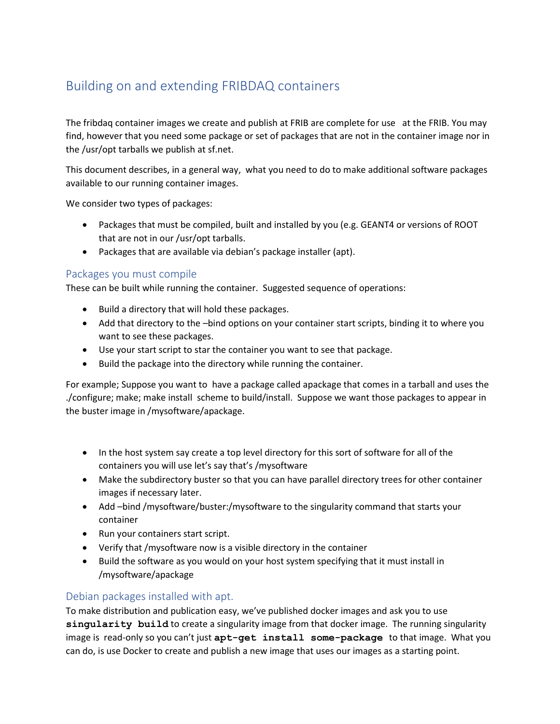# Building on and extending FRIBDAQ containers

The fribdaq container images we create and publish at FRIB are complete for use at the FRIB. You may find, however that you need some package or set of packages that are not in the container image nor in the /usr/opt tarballs we publish at sf.net.

This document describes, in a general way, what you need to do to make additional software packages available to our running container images.

We consider two types of packages:

- Packages that must be compiled, built and installed by you (e.g. GEANT4 or versions of ROOT that are not in our /usr/opt tarballs.
- Packages that are available via debian's package installer (apt).

## Packages you must compile

These can be built while running the container. Suggested sequence of operations:

- Build a directory that will hold these packages.
- Add that directory to the –bind options on your container start scripts, binding it to where you want to see these packages.
- Use your start script to star the container you want to see that package.
- Build the package into the directory while running the container.

For example; Suppose you want to have a package called apackage that comes in a tarball and uses the ./configure; make; make install scheme to build/install. Suppose we want those packages to appear in the buster image in /mysoftware/apackage.

- In the host system say create a top level directory for this sort of software for all of the containers you will use let's say that's /mysoftware
- Make the subdirectory buster so that you can have parallel directory trees for other container images if necessary later.
- Add –bind /mysoftware/buster:/mysoftware to the singularity command that starts your container
- Run your containers start script.
- Verify that /mysoftware now is a visible directory in the container
- Build the software as you would on your host system specifying that it must install in /mysoftware/apackage

## Debian packages installed with apt.

To make distribution and publication easy, we've published docker images and ask you to use **singularity build** to create a singularity image from that docker image. The running singularity image is read-only so you can't just **apt-get install some-package** to that image. What you can do, is use Docker to create and publish a new image that uses our images as a starting point.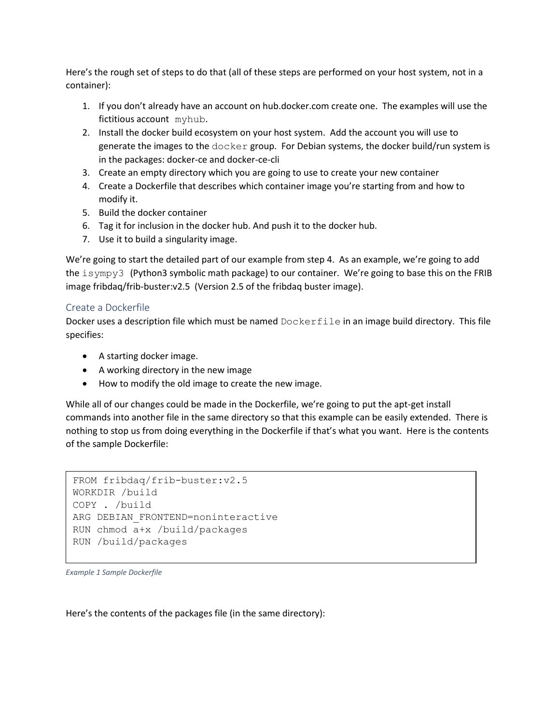Here's the rough set of steps to do that (all of these steps are performed on your host system, not in a container):

- 1. If you don't already have an account on hub.docker.com create one. The examples will use the fictitious account myhub.
- 2. Install the docker build ecosystem on your host system. Add the account you will use to generate the images to the docker group. For Debian systems, the docker build/run system is in the packages: docker-ce and docker-ce-cli
- 3. Create an empty directory which you are going to use to create your new container
- 4. Create a Dockerfile that describes which container image you're starting from and how to modify it.
- 5. Build the docker container
- 6. Tag it for inclusion in the docker hub. And push it to the docker hub.
- 7. Use it to build a singularity image.

We're going to start the detailed part of our example from step 4. As an example, we're going to add the isympy3 (Python3 symbolic math package) to our container. We're going to base this on the FRIB image fribdaq/frib-buster:v2.5 (Version 2.5 of the fribdaq buster image).

## Create a Dockerfile

Docker uses a description file which must be named Dockerfile in an image build directory. This file specifies:

- A starting docker image.
- A working directory in the new image
- How to modify the old image to create the new image.

While all of our changes could be made in the Dockerfile, we're going to put the apt-get install commands into another file in the same directory so that this example can be easily extended. There is nothing to stop us from doing everything in the Dockerfile if that's what you want. Here is the contents of the sample Dockerfile:

```
FROM fribdaq/frib-buster:v2.5
WORKDIR /build
COPY . /build
ARG DEBIAN FRONTEND=noninteractive
RUN chmod a+x /build/packages
RUN /build/packages
```
*Example 1 Sample Dockerfile*

Here's the contents of the packages file (in the same directory):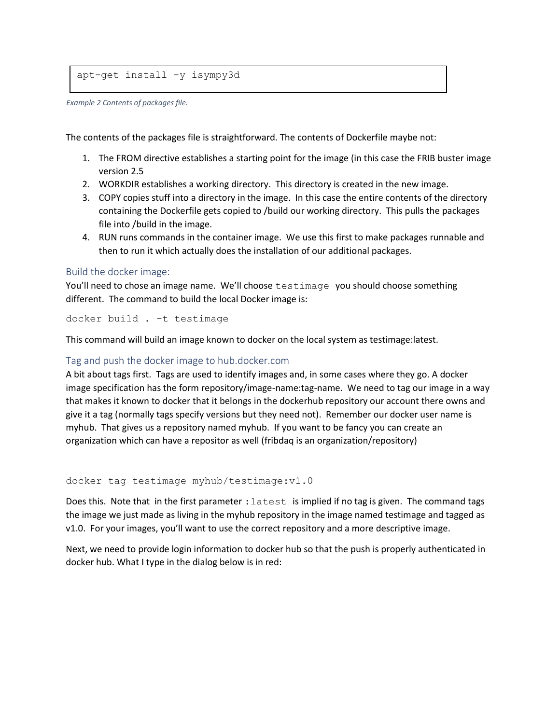```
apt-get install -y isympy3d
```
*Example 2 Contents of packages file.*

The contents of the packages file is straightforward. The contents of Dockerfile maybe not:

- 1. The FROM directive establishes a starting point for the image (in this case the FRIB buster image version 2.5
- 2. WORKDIR establishes a working directory. This directory is created in the new image.
- 3. COPY copies stuff into a directory in the image. In this case the entire contents of the directory containing the Dockerfile gets copied to /build our working directory. This pulls the packages file into /build in the image.
- 4. RUN runs commands in the container image. We use this first to make packages runnable and then to run it which actually does the installation of our additional packages.

#### Build the docker image:

You'll need to chose an image name. We'll choose testimage you should choose something different. The command to build the local Docker image is:

docker build . -t testimage

This command will build an image known to docker on the local system as testimage:latest.

#### Tag and push the docker image to hub.docker.com

A bit about tags first. Tags are used to identify images and, in some cases where they go. A docker image specification has the form repository/image-name:tag-name. We need to tag our image in a way that makes it known to docker that it belongs in the dockerhub repository our account there owns and give it a tag (normally tags specify versions but they need not). Remember our docker user name is myhub. That gives us a repository named myhub. If you want to be fancy you can create an organization which can have a repositor as well (fribdaq is an organization/repository)

docker tag testimage myhub/testimage:v1.0

Does this. Note that in the first parameter :  $l$  atest is implied if no tag is given. The command tags the image we just made as living in the myhub repository in the image named testimage and tagged as v1.0. For your images, you'll want to use the correct repository and a more descriptive image.

Next, we need to provide login information to docker hub so that the push is properly authenticated in docker hub. What I type in the dialog below is in red: